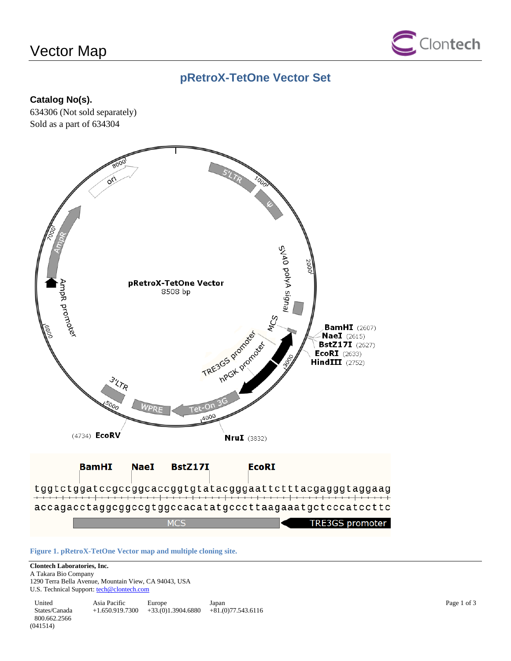# Vector Map



# **pRetroX-TetOne Vector Set**

### **Catalog No(s).**

634306 (Not sold separately) Sold as a part of 634304



**Figure 1. pRetroX-TetOne Vector map and multiple cloning site.**

### **Clontech Laboratories, Inc.**

A Takara Bio Company 1290 Terra Bella Avenue, Mountain View, CA 94043, USA U.S. Technical Support[: tech@clontech.com](mailto:tech@clontech.com)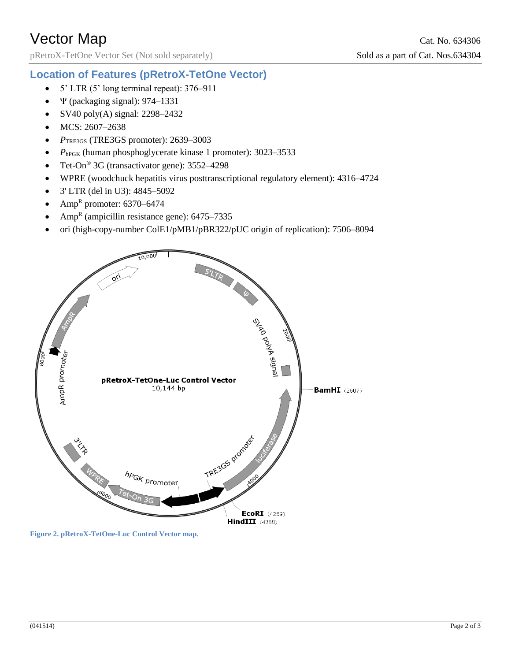pRetroX-TetOne Vector Set (Not sold separately) Sold as a part of Cat. Nos.634304

### **Location of Features (pRetroX-TetOne Vector)**

- $\bullet$  5' LTR (5' long terminal repeat): 376–911
- $\cdot \quad \Psi$  (packaging signal): 974–1331
- $\bullet$  SV40 poly(A) signal: 2298–2432
- MCS: 2607-2638
- *P*TRE3GS (TRE3GS promoter): 2639–3003
- $P_{\text{hPGK}}$  (human phosphoglycerate kinase 1 promoter): 3023–3533
- Tet-On<sup>®</sup> 3G (transactivator gene): 3552–4298
- WPRE (woodchuck hepatitis virus posttranscriptional regulatory element): 4316–4724
- 3' LTR (del in U3): 4845–5092
- Amp<sup>R</sup> promoter:  $6370-6474$
- Amp<sup>R</sup> (ampicillin resistance gene):  $6475-7335$
- ori (high-copy-number ColE1/pMB1/pBR322/pUC origin of replication): 7506–8094



**Figure 2. pRetroX-TetOne-Luc Control Vector map.**